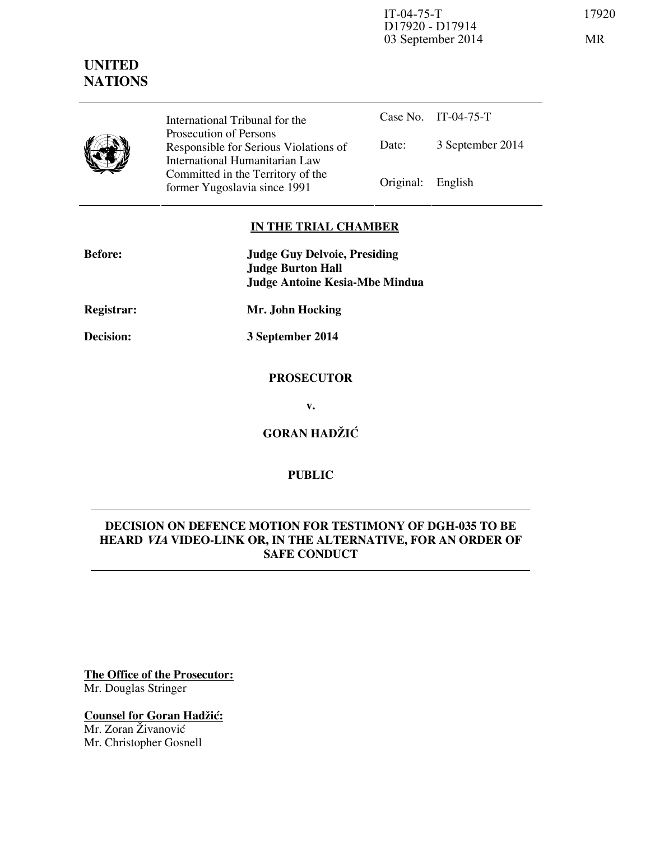IT-04-75-T 17920 D17920 - D17914 03 September 2014 MR



**UNITED NATIONS**

> International Tribunal for the Prosecution of Persons Responsible for Serious Violations of International Humanitarian Law Committed in the Territory of the Former Yugoslavia since 1991 Original: English

Case No. IT-04-75-T Date: 3 September 2014

## **IN THE TRIAL CHAMBER**

| <b>Before:</b>    | <b>Judge Guy Delvoie, Presiding</b><br><b>Judge Burton Hall</b><br><b>Judge Antoine Kesia-Mbe Mindua</b> |
|-------------------|----------------------------------------------------------------------------------------------------------|
| <b>Registrar:</b> | Mr. John Hocking                                                                                         |
| Decision:         | 3 September 2014                                                                                         |
|                   | <b>PROSECUTOR</b>                                                                                        |

**v.** 

**GORAN HADŽIĆ** 

## **PUBLIC**

# **DECISION ON DEFENCE MOTION FOR TESTIMONY OF DGH-035 TO BE HEARD VIA VIDEO-LINK OR, IN THE ALTERNATIVE, FOR AN ORDER OF SAFE CONDUCT**

**The Office of the Prosecutor:** Mr. Douglas Stringer

**Counsel for Goran Hadžić:** Mr. Zoran Živanović

Mr. Christopher Gosnell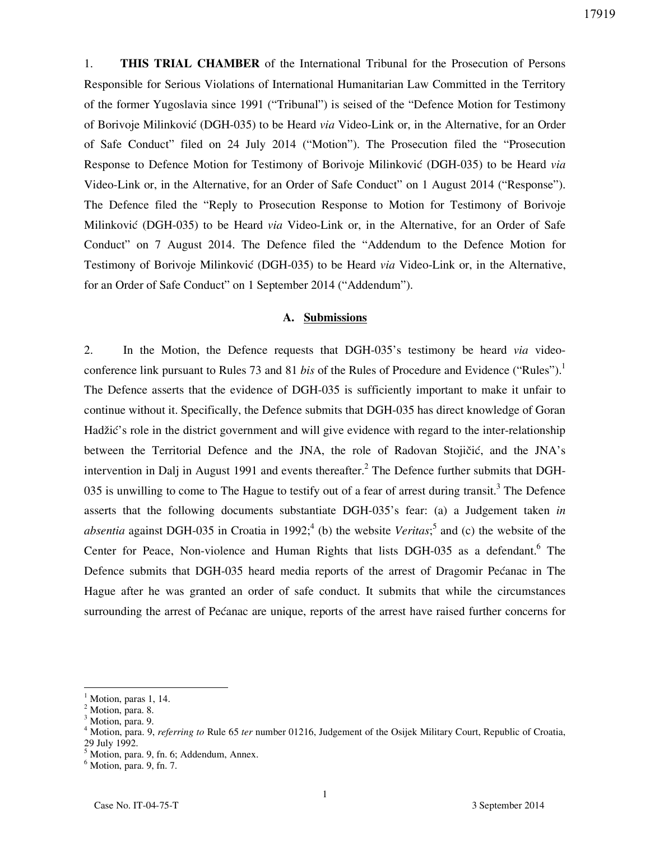1. **THIS TRIAL CHAMBER** of the International Tribunal for the Prosecution of Persons Responsible for Serious Violations of International Humanitarian Law Committed in the Territory of the former Yugoslavia since 1991 ("Tribunal") is seised of the "Defence Motion for Testimony of Borivoje Milinković (DGH-035) to be Heard *via* Video-Link or, in the Alternative, for an Order of Safe Conduct" filed on 24 July 2014 ("Motion"). The Prosecution filed the "Prosecution Response to Defence Motion for Testimony of Borivoje Milinković (DGH-035) to be Heard *via* Video-Link or, in the Alternative, for an Order of Safe Conduct" on 1 August 2014 ("Response"). The Defence filed the "Reply to Prosecution Response to Motion for Testimony of Borivoje Milinković (DGH-035) to be Heard *via* Video-Link or, in the Alternative, for an Order of Safe Conduct" on 7 August 2014. The Defence filed the "Addendum to the Defence Motion for Testimony of Borivoje Milinković (DGH-035) to be Heard *via* Video-Link or, in the Alternative, for an Order of Safe Conduct" on 1 September 2014 ("Addendum").

#### **A. Submissions**

2. In the Motion, the Defence requests that DGH-035's testimony be heard *via* videoconference link pursuant to Rules 73 and 81 *bis* of the Rules of Procedure and Evidence ("Rules").<sup>1</sup> The Defence asserts that the evidence of DGH-035 is sufficiently important to make it unfair to continue without it. Specifically, the Defence submits that DGH-035 has direct knowledge of Goran Hadžić's role in the district government and will give evidence with regard to the inter-relationship between the Territorial Defence and the JNA, the role of Radovan Stojičić, and the JNA's intervention in Dalj in August 1991 and events thereafter.<sup>2</sup> The Defence further submits that DGH-035 is unwilling to come to The Hague to testify out of a fear of arrest during transit.<sup>3</sup> The Defence asserts that the following documents substantiate DGH-035's fear: (a) a Judgement taken *in absentia* against DGH-035 in Croatia in 1992;<sup>4</sup> (b) the website *Veritas*;<sup>5</sup> and (c) the website of the Center for Peace, Non-violence and Human Rights that lists DGH-035 as a defendant.<sup>6</sup> The Defence submits that DGH-035 heard media reports of the arrest of Dragomir Pećanac in The Hague after he was granted an order of safe conduct. It submits that while the circumstances surrounding the arrest of Pećanac are unique, reports of the arrest have raised further concerns for

 $\overline{a}$ 

<sup>1</sup> Motion, paras 1, 14.

<sup>&</sup>lt;sup>2</sup> Motion, para. 8.

<sup>&</sup>lt;sup>3</sup> Motion, para. 9.

<sup>4</sup> Motion, para. 9, *referring to* Rule 65 *ter* number 01216, Judgement of the Osijek Military Court, Republic of Croatia, 29 July 1992.

<sup>5</sup> Motion, para. 9, fn. 6; Addendum, Annex.

<sup>6</sup> Motion, para. 9, fn. 7.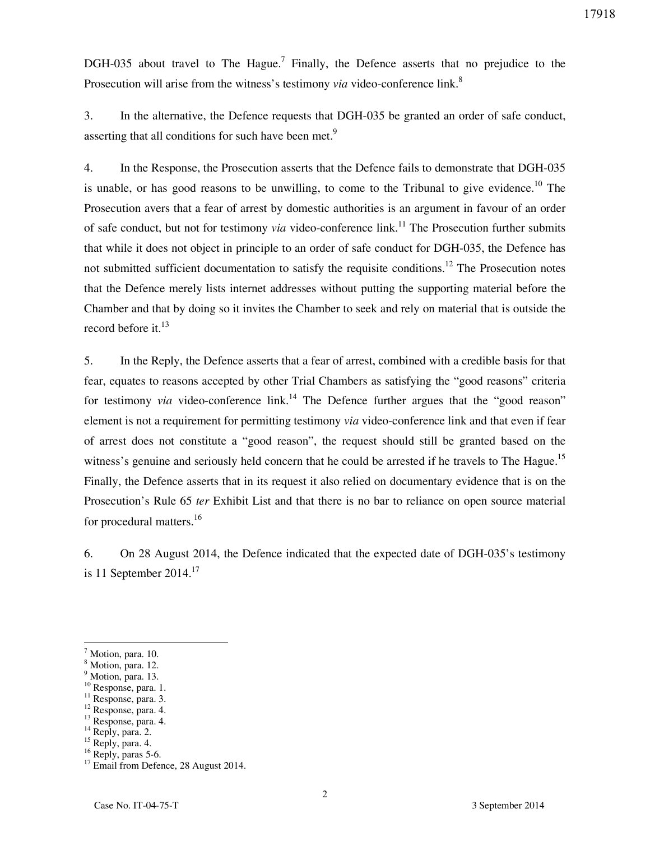DGH-035 about travel to The Hague.<sup>7</sup> Finally, the Defence asserts that no prejudice to the Prosecution will arise from the witness's testimony *via* video-conference link.<sup>8</sup>

3. In the alternative, the Defence requests that DGH-035 be granted an order of safe conduct, asserting that all conditions for such have been met.<sup>9</sup>

4. In the Response, the Prosecution asserts that the Defence fails to demonstrate that DGH-035 is unable, or has good reasons to be unwilling, to come to the Tribunal to give evidence.<sup>10</sup> The Prosecution avers that a fear of arrest by domestic authorities is an argument in favour of an order of safe conduct, but not for testimony *via* video-conference link.<sup>11</sup> The Prosecution further submits that while it does not object in principle to an order of safe conduct for DGH-035, the Defence has not submitted sufficient documentation to satisfy the requisite conditions.<sup>12</sup> The Prosecution notes that the Defence merely lists internet addresses without putting the supporting material before the Chamber and that by doing so it invites the Chamber to seek and rely on material that is outside the record before it. $^{13}$ 

5. In the Reply, the Defence asserts that a fear of arrest, combined with a credible basis for that fear, equates to reasons accepted by other Trial Chambers as satisfying the "good reasons" criteria for testimony *via* video-conference  $\text{link}^{14}$ . The Defence further argues that the "good reason" element is not a requirement for permitting testimony *via* video-conference link and that even if fear of arrest does not constitute a "good reason", the request should still be granted based on the witness's genuine and seriously held concern that he could be arrested if he travels to The Hague.<sup>15</sup> Finally, the Defence asserts that in its request it also relied on documentary evidence that is on the Prosecution's Rule 65 *ter* Exhibit List and that there is no bar to reliance on open source material for procedural matters.<sup>16</sup>

6. On 28 August 2014, the Defence indicated that the expected date of DGH-035's testimony is 11 September  $2014.<sup>17</sup>$ 

 $\overline{a}$ 

- <sup>9</sup> Motion, para. 13.
- <sup>10</sup> Response, para. 1.
- <sup>11</sup> Response, para. 3.
- <sup>12</sup> Response, para. 4.
- <sup>13</sup> Response, para. 4.

<sup>&</sup>lt;sup>7</sup> Motion, para. 10.

<sup>&</sup>lt;sup>8</sup> Motion, para. 12.

 $14$  Reply, para. 2.

 $15$  Reply, para. 4.

<sup>&</sup>lt;sup>16</sup> Reply, paras 5-6.

<sup>&</sup>lt;sup>17</sup> Email from Defence, 28 August 2014.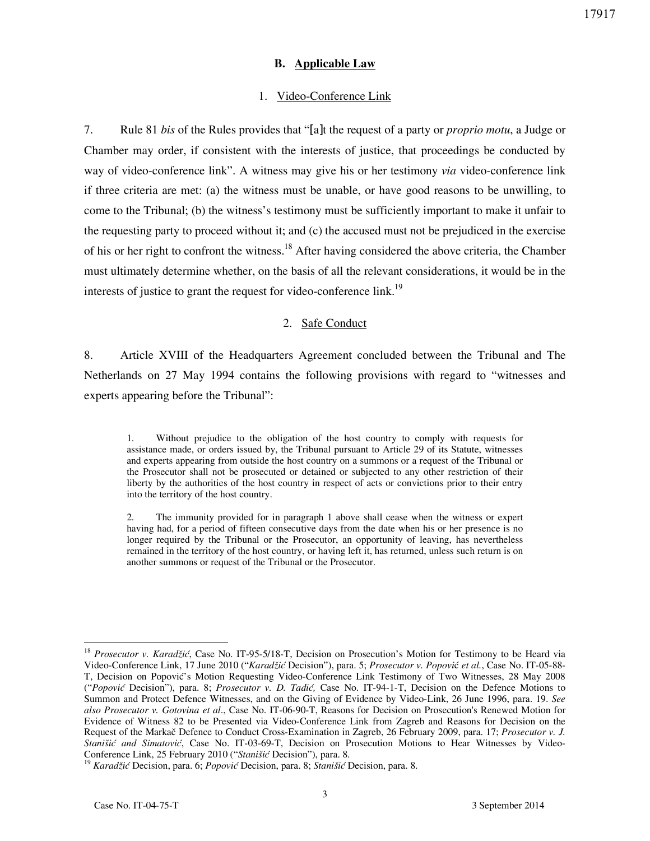#### **B. Applicable Law**

#### 1. Video-Conference Link

7. Rule 81 *bis* of the Rules provides that "[a]t the request of a party or *proprio motu*, a Judge or Chamber may order, if consistent with the interests of justice, that proceedings be conducted by way of video-conference link". A witness may give his or her testimony *via* video-conference link if three criteria are met: (a) the witness must be unable, or have good reasons to be unwilling, to come to the Tribunal; (b) the witness's testimony must be sufficiently important to make it unfair to the requesting party to proceed without it; and (c) the accused must not be prejudiced in the exercise of his or her right to confront the witness.<sup>18</sup> After having considered the above criteria, the Chamber must ultimately determine whether, on the basis of all the relevant considerations, it would be in the interests of justice to grant the request for video-conference link.<sup>19</sup>

#### 2. Safe Conduct

8. Article XVIII of the Headquarters Agreement concluded between the Tribunal and The Netherlands on 27 May 1994 contains the following provisions with regard to "witnesses and experts appearing before the Tribunal":

1. Without prejudice to the obligation of the host country to comply with requests for assistance made, or orders issued by, the Tribunal pursuant to Article 29 of its Statute, witnesses and experts appearing from outside the host country on a summons or a request of the Tribunal or the Prosecutor shall not be prosecuted or detained or subjected to any other restriction of their liberty by the authorities of the host country in respect of acts or convictions prior to their entry into the territory of the host country.

2. The immunity provided for in paragraph 1 above shall cease when the witness or expert having had, for a period of fifteen consecutive days from the date when his or her presence is no longer required by the Tribunal or the Prosecutor, an opportunity of leaving, has nevertheless remained in the territory of the host country, or having left it, has returned, unless such return is on another summons or request of the Tribunal or the Prosecutor.

 $\overline{a}$ <sup>18</sup> *Prosecutor v. Karadžić*, Case No. IT-95-5/18-T, Decision on Prosecution's Motion for Testimony to be Heard via Video-Conference Link, 17 June 2010 ("*Karadžić* Decision"), para. 5; *Prosecutor v. Popovi*ć *et al.*, Case No. IT-05-88- T, Decision on Popović's Motion Requesting Video-Conference Link Testimony of Two Witnesses, 28 May 2008 ("*Popović* Decision"), para. 8; *Prosecutor v. D. Tadić,* Case No. IT-94-1-T, Decision on the Defence Motions to Summon and Protect Defence Witnesses, and on the Giving of Evidence by Video-Link, 26 June 1996, para. 19. *See also Prosecutor v. Gotovina et al*., Case No. IT-06-90-T, Reasons for Decision on Prosecution's Renewed Motion for Evidence of Witness 82 to be Presented via Video-Conference Link from Zagreb and Reasons for Decision on the Request of the Markač Defence to Conduct Cross-Examination in Zagreb, 26 February 2009, para. 17; *Prosecutor v. J. Stanišić and Simatović*, Case No. IT-03-69-T, Decision on Prosecution Motions to Hear Witnesses by Video-Conference Link, 25 February 2010 ("*Stanišić* Decision"), para. 8.

<sup>19</sup> *Karadžić* Decision, para. 6; *Popović* Decision, para. 8; *Stanišić* Decision, para. 8.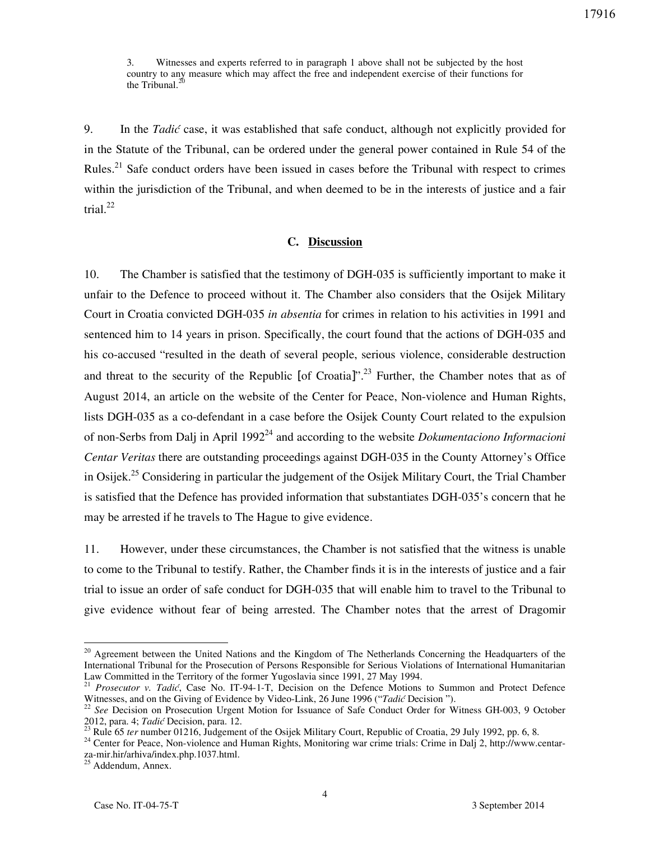3. Witnesses and experts referred to in paragraph 1 above shall not be subjected by the host country to any measure which may affect the free and independent exercise of their functions for the Tribunal. $<sup>2</sup>$ </sup>

9. In the *Tadić* case, it was established that safe conduct, although not explicitly provided for in the Statute of the Tribunal, can be ordered under the general power contained in Rule 54 of the Rules.<sup>21</sup> Safe conduct orders have been issued in cases before the Tribunal with respect to crimes within the jurisdiction of the Tribunal, and when deemed to be in the interests of justice and a fair trial. $^{22}$ 

#### **C. Discussion**

10. The Chamber is satisfied that the testimony of DGH-035 is sufficiently important to make it unfair to the Defence to proceed without it. The Chamber also considers that the Osijek Military Court in Croatia convicted DGH-035 *in absentia* for crimes in relation to his activities in 1991 and sentenced him to 14 years in prison. Specifically, the court found that the actions of DGH-035 and his co-accused "resulted in the death of several people, serious violence, considerable destruction and threat to the security of the Republic [of Croatia]".<sup>23</sup> Further, the Chamber notes that as of August 2014, an article on the website of the Center for Peace, Non-violence and Human Rights, lists DGH-035 as a co-defendant in a case before the Osijek County Court related to the expulsion of non-Serbs from Dalj in April 1992<sup>24</sup> and according to the website *Dokumentaciono Informacioni Centar Veritas* there are outstanding proceedings against DGH-035 in the County Attorney's Office in Osijek.<sup>25</sup> Considering in particular the judgement of the Osijek Military Court, the Trial Chamber is satisfied that the Defence has provided information that substantiates DGH-035's concern that he may be arrested if he travels to The Hague to give evidence.

11. However, under these circumstances, the Chamber is not satisfied that the witness is unable to come to the Tribunal to testify. Rather, the Chamber finds it is in the interests of justice and a fair trial to issue an order of safe conduct for DGH-035 that will enable him to travel to the Tribunal to give evidence without fear of being arrested. The Chamber notes that the arrest of Dragomir

 $\overline{a}$ 

<sup>&</sup>lt;sup>20</sup> Agreement between the United Nations and the Kingdom of The Netherlands Concerning the Headquarters of the International Tribunal for the Prosecution of Persons Responsible for Serious Violations of International Humanitarian Law Committed in the Territory of the former Yugoslavia since 1991, 27 May 1994.

<sup>21</sup> *Prosecutor v. Tadić*, Case No. IT-94-1-T, Decision on the Defence Motions to Summon and Protect Defence Witnesses, and on the Giving of Evidence by Video-Link, 26 June 1996 ("*Tadić* Decision ").<br><sup>22</sup> See Decision on Prosecution Heart Matter of Link, 26 June 1996 ("*Tadić* Decision ").

<sup>22</sup> *See* Decision on Prosecution Urgent Motion for Issuance of Safe Conduct Order for Witness GH-003, 9 October 2012, para. 4; *Tadić* Decision, para. 12.

<sup>&</sup>lt;sup>23</sup> Rule 65 *ter* number 01216, Judgement of the Osijek Military Court, Republic of Croatia, 29 July 1992, pp. 6, 8.

<sup>&</sup>lt;sup>24</sup> Center for Peace, Non-violence and Human Rights, Monitoring war crime trials: Crime in Dalj 2, http://www.centarza-mir.hir/arhiva/index.php.1037.html.

<sup>&</sup>lt;sup>25</sup> Addendum, Annex.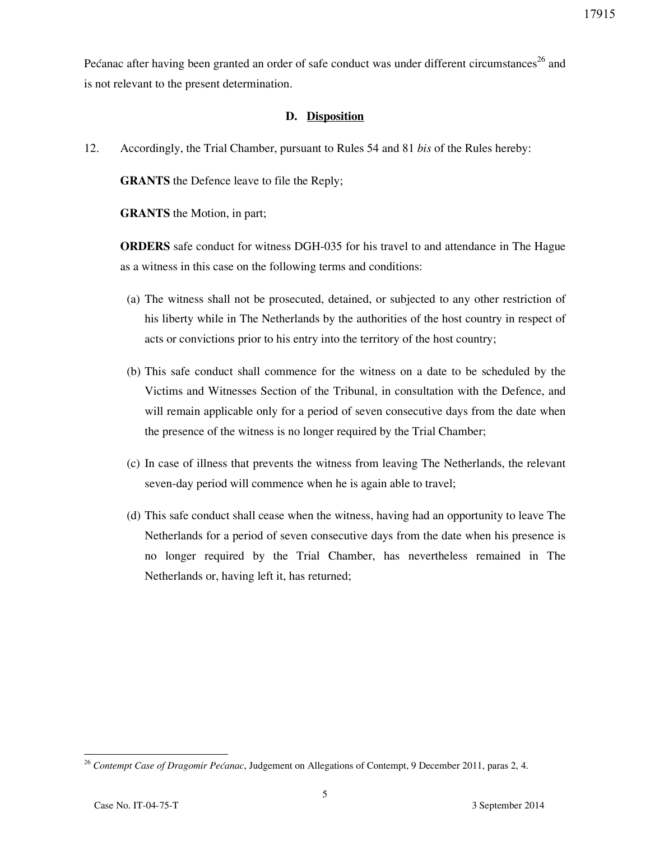Pećanac after having been granted an order of safe conduct was under different circumstances<sup>26</sup> and is not relevant to the present determination.

### **D. Disposition**

12. Accordingly, the Trial Chamber, pursuant to Rules 54 and 81 *bis* of the Rules hereby:

**GRANTS** the Defence leave to file the Reply;

**GRANTS** the Motion, in part;

**ORDERS** safe conduct for witness DGH-035 for his travel to and attendance in The Hague as a witness in this case on the following terms and conditions:

- (a) The witness shall not be prosecuted, detained, or subjected to any other restriction of his liberty while in The Netherlands by the authorities of the host country in respect of acts or convictions prior to his entry into the territory of the host country;
- (b) This safe conduct shall commence for the witness on a date to be scheduled by the Victims and Witnesses Section of the Tribunal, in consultation with the Defence, and will remain applicable only for a period of seven consecutive days from the date when the presence of the witness is no longer required by the Trial Chamber;
- (c) In case of illness that prevents the witness from leaving The Netherlands, the relevant seven-day period will commence when he is again able to travel;
- (d) This safe conduct shall cease when the witness, having had an opportunity to leave The Netherlands for a period of seven consecutive days from the date when his presence is no longer required by the Trial Chamber, has nevertheless remained in The Netherlands or, having left it, has returned;

<sup>26</sup> *Contempt Case of Dragomir Pećanac*, Judgement on Allegations of Contempt, 9 December 2011, paras 2, 4.